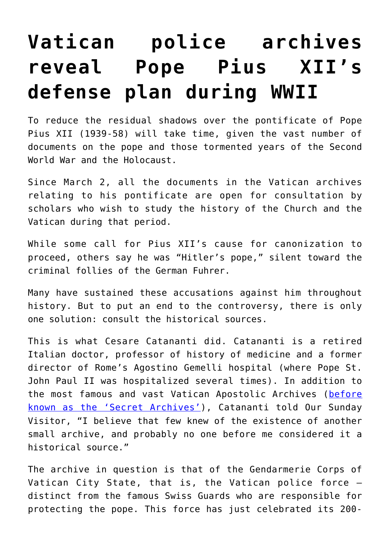## **[Vatican police archives](https://www.osvnews.com/2020/03/05/vatican-police-archives-reveal-pope-pius-xiis-defense-plan-during-wwii/) [reveal Pope Pius XII's](https://www.osvnews.com/2020/03/05/vatican-police-archives-reveal-pope-pius-xiis-defense-plan-during-wwii/) [defense plan during WWII](https://www.osvnews.com/2020/03/05/vatican-police-archives-reveal-pope-pius-xiis-defense-plan-during-wwii/)**

To reduce the residual shadows over the pontificate of Pope Pius XII (1939-58) will take time, given the vast number of documents on the pope and those tormented years of the Second World War and the Holocaust.

Since March 2, all the documents in the Vatican archives relating to his pontificate are open for consultation by scholars who wish to study the history of the Church and the Vatican during that period.

While some call for Pius XII's cause for canonization to proceed, others say he was "Hitler's pope," silent toward the criminal follies of the German Fuhrer.

Many have sustained these accusations against him throughout history. But to put an end to the controversy, there is only one solution: consult the historical sources.

This is what Cesare Catananti did. Catananti is a retired Italian doctor, professor of history of medicine and a former director of Rome's Agostino Gemelli hospital (where Pope St. John Paul II was hospitalized several times). In addition to the most famous and vast Vatican Apostolic Archives ([before](https://osvnews.com/2019/10/28/with-new-decree-pope-makes-vatican-secret-archives-no-longer-secret/) [known as the 'Secret Archives'](https://osvnews.com/2019/10/28/with-new-decree-pope-makes-vatican-secret-archives-no-longer-secret/)), Catananti told Our Sunday Visitor, "I believe that few knew of the existence of another small archive, and probably no one before me considered it a historical source."

The archive in question is that of the Gendarmerie Corps of Vatican City State, that is, the Vatican police force distinct from the famous Swiss Guards who are responsible for protecting the pope. This force has just celebrated its 200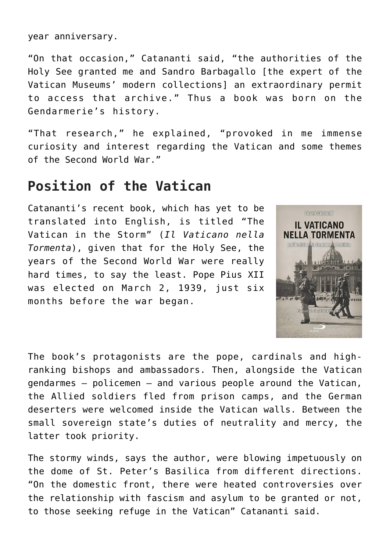year anniversary.

"On that occasion," Catananti said, "the authorities of the Holy See granted me and Sandro Barbagallo [the expert of the Vatican Museums' modern collections] an extraordinary permit to access that archive." Thus a book was born on the Gendarmerie's history.

"That research," he explained, "provoked in me immense curiosity and interest regarding the Vatican and some themes of the Second World War."

## **Position of the Vatican**

Catananti's recent book, which has yet to be translated into English, is titled "The Vatican in the Storm" (*Il Vaticano nella Tormenta*), given that for the Holy See, the years of the Second World War were really hard times, to say the least. Pope Pius XII was elected on March 2, 1939, just six months before the war began.



The book's protagonists are the pope, cardinals and highranking bishops and ambassadors. Then, alongside the Vatican gendarmes — policemen — and various people around the Vatican, the Allied soldiers fled from prison camps, and the German deserters were welcomed inside the Vatican walls. Between the small sovereign state's duties of neutrality and mercy, the latter took priority.

The stormy winds, says the author, were blowing impetuously on the dome of St. Peter's Basilica from different directions. "On the domestic front, there were heated controversies over the relationship with fascism and asylum to be granted or not, to those seeking refuge in the Vatican" Catananti said.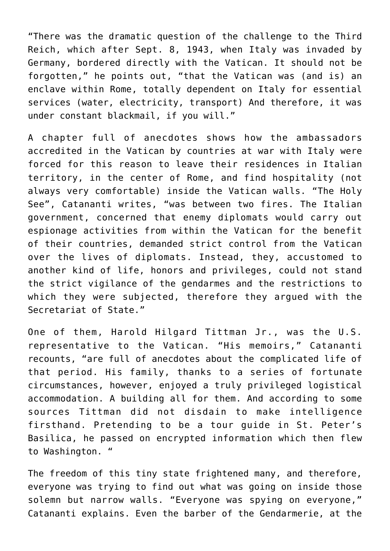"There was the dramatic question of the challenge to the Third Reich, which after Sept. 8, 1943, when Italy was invaded by Germany, bordered directly with the Vatican. It should not be forgotten," he points out, "that the Vatican was (and is) an enclave within Rome, totally dependent on Italy for essential services (water, electricity, transport) And therefore, it was under constant blackmail, if you will."

A chapter full of anecdotes shows how the ambassadors accredited in the Vatican by countries at war with Italy were forced for this reason to leave their residences in Italian territory, in the center of Rome, and find hospitality (not always very comfortable) inside the Vatican walls. "The Holy See", Catananti writes, "was between two fires. The Italian government, concerned that enemy diplomats would carry out espionage activities from within the Vatican for the benefit of their countries, demanded strict control from the Vatican over the lives of diplomats. Instead, they, accustomed to another kind of life, honors and privileges, could not stand the strict vigilance of the gendarmes and the restrictions to which they were subjected, therefore they argued with the Secretariat of State."

One of them, Harold Hilgard Tittman Jr., was the U.S. representative to the Vatican. "His memoirs," Catananti recounts, "are full of anecdotes about the complicated life of that period. His family, thanks to a series of fortunate circumstances, however, enjoyed a truly privileged logistical accommodation. A building all for them. And according to some sources Tittman did not disdain to make intelligence firsthand. Pretending to be a tour guide in St. Peter's Basilica, he passed on encrypted information which then flew to Washington. "

The freedom of this tiny state frightened many, and therefore, everyone was trying to find out what was going on inside those solemn but narrow walls. "Everyone was spying on everyone," Catananti explains. Even the barber of the Gendarmerie, at the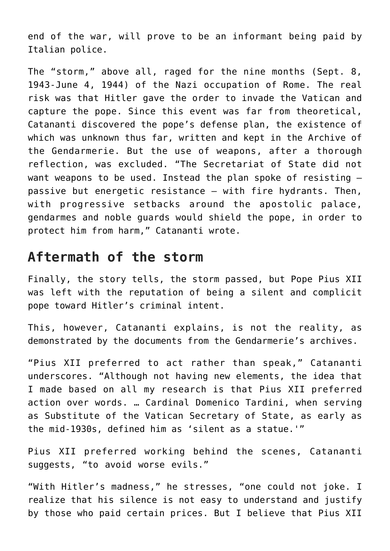end of the war, will prove to be an informant being paid by Italian police.

The "storm," above all, raged for the nine months (Sept. 8, 1943-June 4, 1944) of the Nazi occupation of Rome. The real risk was that Hitler gave the order to invade the Vatican and capture the pope. Since this event was far from theoretical, Catananti discovered the pope's defense plan, the existence of which was unknown thus far, written and kept in the Archive of the Gendarmerie. But the use of weapons, after a thorough reflection, was excluded. "The Secretariat of State did not want weapons to be used. Instead the plan spoke of resisting passive but energetic resistance — with fire hydrants. Then, with progressive setbacks around the apostolic palace, gendarmes and noble guards would shield the pope, in order to protect him from harm," Catananti wrote.

## **Aftermath of the storm**

Finally, the story tells, the storm passed, but Pope Pius XII was left with the reputation of being a silent and complicit pope toward Hitler's criminal intent.

This, however, Catananti explains, is not the reality, as demonstrated by the documents from the Gendarmerie's archives.

"Pius XII preferred to act rather than speak," Catananti underscores. "Although not having new elements, the idea that I made based on all my research is that Pius XII preferred action over words. … Cardinal Domenico Tardini, when serving as Substitute of the Vatican Secretary of State, as early as the mid-1930s, defined him as 'silent as a statue.'"

Pius XII preferred working behind the scenes, Catananti suggests, "to avoid worse evils."

"With Hitler's madness," he stresses, "one could not joke. I realize that his silence is not easy to understand and justify by those who paid certain prices. But I believe that Pius XII